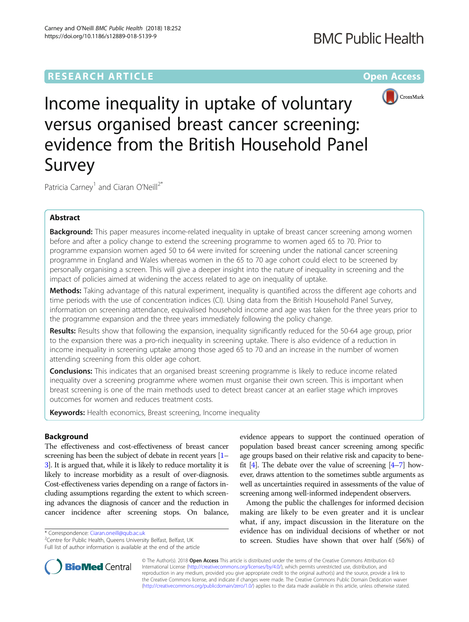# **RESEARCH ARTICLE Example 2014 12:30 The Contract of Contract ACCESS**



Income inequality in uptake of voluntary versus organised breast cancer screening: evidence from the British Household Panel Survey

Patricia Carney<sup>1</sup> and Ciaran O'Neill<sup>2\*</sup>

## Abstract

Background: This paper measures income-related inequality in uptake of breast cancer screening among women before and after a policy change to extend the screening programme to women aged 65 to 70. Prior to programme expansion women aged 50 to 64 were invited for screening under the national cancer screening programme in England and Wales whereas women in the 65 to 70 age cohort could elect to be screened by personally organising a screen. This will give a deeper insight into the nature of inequality in screening and the impact of policies aimed at widening the access related to age on inequality of uptake.

Methods: Taking advantage of this natural experiment, inequality is quantified across the different age cohorts and time periods with the use of concentration indices (CI). Using data from the British Household Panel Survey, information on screening attendance, equivalised household income and age was taken for the three years prior to the programme expansion and the three years immediately following the policy change.

Results: Results show that following the expansion, inequality significantly reduced for the 50-64 age group, prior to the expansion there was a pro-rich inequality in screening uptake. There is also evidence of a reduction in income inequality in screening uptake among those aged 65 to 70 and an increase in the number of women attending screening from this older age cohort.

**Conclusions:** This indicates that an organised breast screening programme is likely to reduce income related inequality over a screening programme where women must organise their own screen. This is important when breast screening is one of the main methods used to detect breast cancer at an earlier stage which improves outcomes for women and reduces treatment costs.

Keywords: Health economics, Breast screening, Income inequality

## Background

The effectiveness and cost-effectiveness of breast cancer screening has been the subject of debate in recent years  $[1]$  $[1]$ [3](#page-6-0)]. It is argued that, while it is likely to reduce mortality it is likely to increase morbidity as a result of over-diagnosis. Cost-effectiveness varies depending on a range of factors including assumptions regarding the extent to which screening advances the diagnosis of cancer and the reduction in cancer incidence after screening stops. On balance,

\* Correspondence: [Ciaran.oneill@qub.ac.uk](mailto:Ciaran.oneill@qub.ac.uk) <sup>2</sup>

<sup>2</sup> Centre for Public Health, Queens University Belfast, Belfast, UK Full list of author information is available at the end of the article

evidence appears to support the continued operation of population based breast cancer screening among specific age groups based on their relative risk and capacity to benefit  $[4]$  $[4]$ . The debate over the value of screening  $[4-7]$  $[4-7]$  however, draws attention to the sometimes subtle arguments as well as uncertainties required in assessments of the value of screening among well-informed independent observers.

Among the public the challenges for informed decision making are likely to be even greater and it is unclear what, if any, impact discussion in the literature on the evidence has on individual decisions of whether or not to screen. Studies have shown that over half (56%) of



© The Author(s). 2018 Open Access This article is distributed under the terms of the Creative Commons Attribution 4.0 International License [\(http://creativecommons.org/licenses/by/4.0/](http://creativecommons.org/licenses/by/4.0/)), which permits unrestricted use, distribution, and reproduction in any medium, provided you give appropriate credit to the original author(s) and the source, provide a link to the Creative Commons license, and indicate if changes were made. The Creative Commons Public Domain Dedication waiver [\(http://creativecommons.org/publicdomain/zero/1.0/](http://creativecommons.org/publicdomain/zero/1.0/)) applies to the data made available in this article, unless otherwise stated.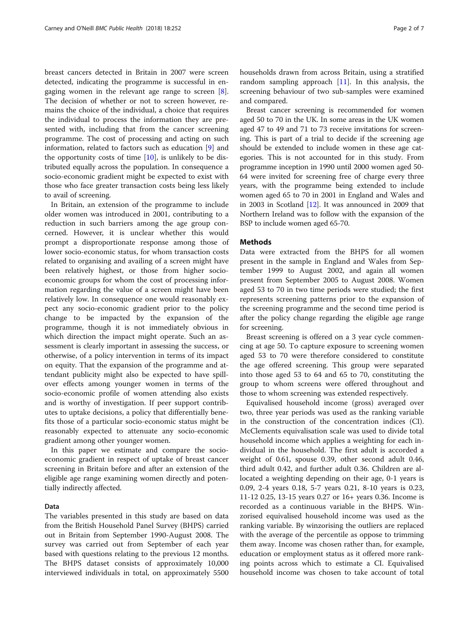breast cancers detected in Britain in 2007 were screen detected, indicating the programme is successful in engaging women in the relevant age range to screen [\[8](#page-6-0)]. The decision of whether or not to screen however, remains the choice of the individual, a choice that requires the individual to process the information they are presented with, including that from the cancer screening programme. The cost of processing and acting on such information, related to factors such as education [\[9](#page-6-0)] and the opportunity costs of time  $[10]$  $[10]$ , is unlikely to be distributed equally across the population. In consequence a socio-economic gradient might be expected to exist with those who face greater transaction costs being less likely to avail of screening.

In Britain, an extension of the programme to include older women was introduced in 2001, contributing to a reduction in such barriers among the age group concerned. However, it is unclear whether this would prompt a disproportionate response among those of lower socio-economic status, for whom transaction costs related to organising and availing of a screen might have been relatively highest, or those from higher socioeconomic groups for whom the cost of processing information regarding the value of a screen might have been relatively low. In consequence one would reasonably expect any socio-economic gradient prior to the policy change to be impacted by the expansion of the programme, though it is not immediately obvious in which direction the impact might operate. Such an assessment is clearly important in assessing the success, or otherwise, of a policy intervention in terms of its impact on equity. That the expansion of the programme and attendant publicity might also be expected to have spillover effects among younger women in terms of the socio-economic profile of women attending also exists and is worthy of investigation. If peer support contributes to uptake decisions, a policy that differentially benefits those of a particular socio-economic status might be reasonably expected to attenuate any socio-economic gradient among other younger women.

In this paper we estimate and compare the socioeconomic gradient in respect of uptake of breast cancer screening in Britain before and after an extension of the eligible age range examining women directly and potentially indirectly affected.

### Data

The variables presented in this study are based on data from the British Household Panel Survey (BHPS) carried out in Britain from September 1990-August 2008. The survey was carried out from September of each year based with questions relating to the previous 12 months. The BHPS dataset consists of approximately 10,000 interviewed individuals in total, on approximately 5500 households drawn from across Britain, using a stratified random sampling approach  $[11]$ . In this analysis, the screening behaviour of two sub-samples were examined and compared.

Breast cancer screening is recommended for women aged 50 to 70 in the UK. In some areas in the UK women aged 47 to 49 and 71 to 73 receive invitations for screening. This is part of a trial to decide if the screening age should be extended to include women in these age categories. This is not accounted for in this study. From programme inception in 1990 until 2000 women aged 50- 64 were invited for screening free of charge every three years, with the programme being extended to include women aged 65 to 70 in 2001 in England and Wales and in 2003 in Scotland [[12](#page-6-0)]. It was announced in 2009 that Northern Ireland was to follow with the expansion of the BSP to include women aged 65-70.

### Methods

Data were extracted from the BHPS for all women present in the sample in England and Wales from September 1999 to August 2002, and again all women present from September 2005 to August 2008. Women aged 53 to 70 in two time periods were studied; the first represents screening patterns prior to the expansion of the screening programme and the second time period is after the policy change regarding the eligible age range for screening.

Breast screening is offered on a 3 year cycle commencing at age 50. To capture exposure to screening women aged 53 to 70 were therefore considered to constitute the age offered screening. This group were separated into those aged 53 to 64 and 65 to 70, constituting the group to whom screens were offered throughout and those to whom screening was extended respectively.

Equivalised household income (gross) averaged over two, three year periods was used as the ranking variable in the construction of the concentration indices (CI). McClements equivalisation scale was used to divide total household income which applies a weighting for each individual in the household. The first adult is accorded a weight of 0.61, spouse 0.39, other second adult 0.46, third adult 0.42, and further adult 0.36. Children are allocated a weighting depending on their age, 0-1 years is 0.09, 2-4 years 0.18, 5-7 years 0.21, 8-10 years is 0.23, 11-12 0.25, 13-15 years 0.27 or 16+ years 0.36. Income is recorded as a continuous variable in the BHPS. Winzorised equivalised household income was used as the ranking variable. By winzorising the outliers are replaced with the average of the percentile as oppose to trimming them away. Income was chosen rather than, for example, education or employment status as it offered more ranking points across which to estimate a CI. Equivalised household income was chosen to take account of total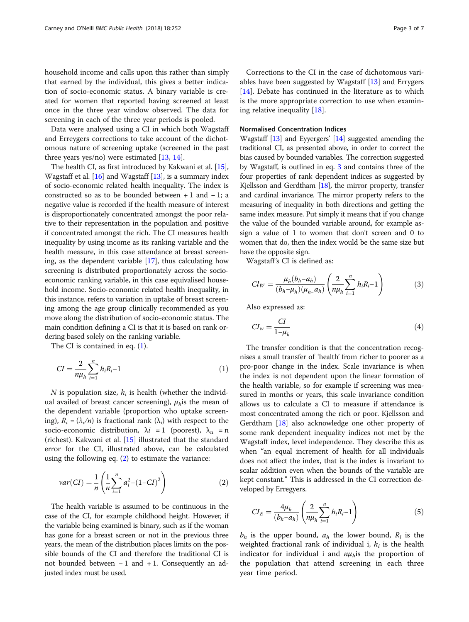household income and calls upon this rather than simply that earned by the individual, this gives a better indication of socio-economic status. A binary variable is created for women that reported having screened at least once in the three year window observed. The data for screening in each of the three year periods is pooled.

Data were analysed using a CI in which both Wagstaff and Erreygers corrections to take account of the dichotomous nature of screening uptake (screened in the past three years yes/no) were estimated  $[13, 14]$  $[13, 14]$  $[13, 14]$  $[13, 14]$  $[13, 14]$ .

The health CI, as first introduced by Kakwani et al. [[15](#page-6-0)], Wagstaff et al. [[16\]](#page-6-0) and Wagstaff [\[13](#page-6-0)], is a summary index of socio-economic related health inequality. The index is constructed so as to be bounded between  $+1$  and  $-1$ ; a negative value is recorded if the health measure of interest is disproportionately concentrated amongst the poor relative to their representation in the population and positive if concentrated amongst the rich. The CI measures health inequality by using income as its ranking variable and the health measure, in this case attendance at breast screening, as the dependent variable [\[17\]](#page-6-0), thus calculating how screening is distributed proportionately across the socioeconomic ranking variable, in this case equivalised household income. Socio-economic related health inequality, in this instance, refers to variation in uptake of breast screening among the age group clinically recommended as you move along the distribution of socio-economic status. The main condition defining a CI is that it is based on rank ordering based solely on the ranking variable.

The CI is contained in eq. (1).

$$
CI = \frac{2}{n\mu_h} \sum_{i=1}^{n} h_i R_i - 1 \tag{1}
$$

N is population size,  $h_i$  is health (whether the individual availed of breast cancer screening),  $\mu_h$  is the mean of the dependent variable (proportion who uptake screening),  $R_i = (\lambda_i/n)$  is fractional rank  $(\lambda_i)$  with respect to the socio-economic distribution,  $\lambda i = 1$  (poorest),  $\lambda_n = n$ (richest). Kakwani et al. [[15\]](#page-6-0) illustrated that the standard error for the CI, illustrated above, can be calculated using the following eq. (2) to estimate the variance:

$$
var(Cl) = \frac{1}{n} \left( \frac{1}{n} \sum_{i=1}^{n} a_i^2 - (1 - CI)^2 \right)
$$
 (2)

The health variable is assumed to be continuous in the case of the CI, for example childhood height. However, if the variable being examined is binary, such as if the woman has gone for a breast screen or not in the previous three years, the mean of the distribution places limits on the possible bounds of the CI and therefore the traditional CI is not bounded between  $-1$  and  $+1$ . Consequently an adjusted index must be used.

Corrections to the CI in the case of dichotomous variables have been suggested by Wagstaff [\[13](#page-6-0)] and Errygers [[14\]](#page-6-0). Debate has continued in the literature as to which is the more appropriate correction to use when examining relative inequality [\[18\]](#page-6-0).

## Normalised Concentration Indices

Wagstaff [\[13](#page-6-0)] and Eyyergers' [\[14](#page-6-0)] suggested amending the traditional CI, as presented above, in order to correct the bias caused by bounded variables. The correction suggested by Wagstaff, is outlined in eq. 3 and contains three of the four properties of rank dependent indices as suggested by Kjellsson and Gerdtham [\[18\]](#page-6-0), the mirror property, transfer and cardinal invariance. The mirror property refers to the measuring of inequality in both directions and getting the same index measure. Put simply it means that if you change the value of the bounded variable around, for example assign a value of 1 to women that don't screen and 0 to women that do, then the index would be the same size but have the opposite sign.

Wagstaff's CI is defined as:

$$
Cl_W = \frac{\mu_h(b_h - a_h)}{(b_h - \mu_h)(\mu_h - a_h)} \left( \frac{2}{n\mu_h} \sum_{i=1}^n h_i R_i - 1 \right)
$$
 (3)

Also expressed as:

$$
CI_w = \frac{CI}{1 - \mu_h} \tag{4}
$$

The transfer condition is that the concentration recognises a small transfer of 'health' from richer to poorer as a pro-poor change in the index. Scale invariance is when the index is not dependent upon the linear formation of the health variable, so for example if screening was measured in months or years, this scale invariance condition allows us to calculate a CI to measure if attendance is most concentrated among the rich or poor. Kjellsson and Gerdtham [\[18\]](#page-6-0) also acknowledge one other property of some rank dependent inequality indices not met by the Wagstaff index, level independence. They describe this as when "an equal increment of health for all individuals does not affect the index, that is the index is invariant to scalar addition even when the bounds of the variable are kept constant." This is addressed in the CI correction developed by Erregyers.

$$
CI_E = \frac{4\mu_h}{(b_h - a_h)} \left( \frac{2}{n\mu_h} \sum_{i=1}^n h_i R_i - 1 \right)
$$
 (5)

 $b_h$  is the upper bound,  $a_h$  the lower bound,  $R_i$  is the weighted fractional rank of individual i,  $h_i$  is the health indicator for individual i and  $n\mu_h$  is the proportion of the population that attend screening in each three year time period.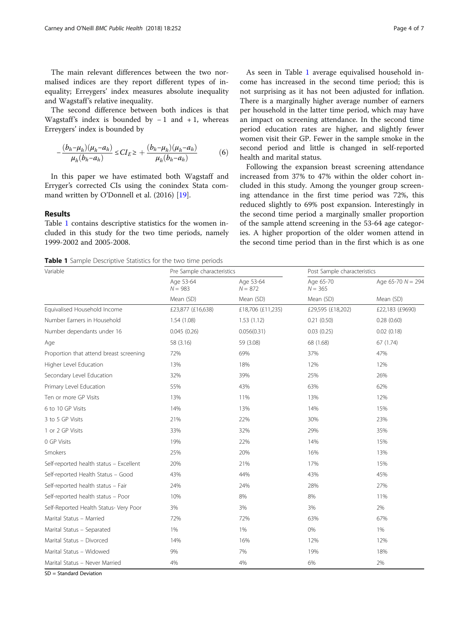<span id="page-3-0"></span>The main relevant differences between the two normalised indices are they report different types of inequality; Erreygers' index measures absolute inequality and Wagstaff's relative inequality.

The second difference between both indices is that Wagstaff's index is bounded by  $-1$  and  $+1$ , whereas Erreygers' index is bounded by

$$
-\frac{(b_h - \mu_h)(\mu_h - a_h)}{\mu_h(b_h - a_h)} \leq CI_E \geq +\frac{(b_h - \mu_h)(\mu_h - a_h)}{\mu_h(b_h - a_h)}\tag{6}
$$

In this paper we have estimated both Wagstaff and Erryger's corrected CIs using the conindex Stata command written by O'Donnell et al. (2016) [\[19](#page-6-0)].

## Results

Table 1 contains descriptive statistics for the women included in this study for the two time periods, namely 1999-2002 and 2005-2008.

Table 1 Sample Descriptive Statistics for the two time periods

As seen in Table 1 average equivalised household income has increased in the second time period; this is not surprising as it has not been adjusted for inflation. There is a marginally higher average number of earners per household in the latter time period, which may have an impact on screening attendance. In the second time period education rates are higher, and slightly fewer women visit their GP. Fewer in the sample smoke in the second period and little is changed in self-reported health and marital status.

Following the expansion breast screening attendance increased from 37% to 47% within the older cohort included in this study. Among the younger group screening attendance in the first time period was 72%, this reduced slightly to 69% post expansion. Interestingly in the second time period a marginally smaller proportion of the sample attend screening in the 53-64 age categories. A higher proportion of the older women attend in the second time period than in the first which is as one

| Variable                                | Pre Sample characteristics          |                                     | Post Sample characteristics         |                                  |
|-----------------------------------------|-------------------------------------|-------------------------------------|-------------------------------------|----------------------------------|
|                                         | Age 53-64<br>$N = 983$<br>Mean (SD) | Age 53-64<br>$N = 872$<br>Mean (SD) | Age 65-70<br>$N = 365$<br>Mean (SD) | Age 65-70 $N = 294$<br>Mean (SD) |
|                                         |                                     |                                     |                                     |                                  |
| Number Earners in Household             | 1.54 (1.08)                         | 1.53(1.12)                          | 0.21(0.50)                          | 0.28(0.60)                       |
| Number dependants under 16              | 0.045(0.26)                         | 0.056(0.31)                         | 0.03(0.25)                          | 0.02(0.18)                       |
| Age                                     | 58 (3.16)                           | 59 (3.08)                           | 68 (1.68)                           | 67(1.74)                         |
| Proportion that attend breast screening | 72%                                 | 69%                                 | 37%                                 | 47%                              |
| Higher Level Education                  | 13%                                 | 18%                                 | 12%                                 | 12%                              |
| Secondary Level Education               | 32%                                 | 39%                                 | 25%                                 | 26%                              |
| Primary Level Education                 | 55%                                 | 43%                                 | 63%                                 | 62%                              |
| Ten or more GP Visits                   | 13%                                 | 11%                                 | 13%                                 | 12%                              |
| 6 to 10 GP Visits                       | 14%                                 | 13%                                 | 14%                                 | 15%                              |
| 3 to 5 GP Visits                        | 21%                                 | 22%                                 | 30%                                 | 23%                              |
| 1 or 2 GP Visits                        | 33%                                 | 32%                                 | 29%                                 | 35%                              |
| 0 GP Visits                             | 19%                                 | 22%                                 | 14%                                 | 15%                              |
| Smokers                                 | 25%                                 | 20%                                 | 16%                                 | 13%                              |
| Self-reported health status - Excellent | 20%                                 | 21%                                 | 17%                                 | 15%                              |
| Self-reported Health Status - Good      | 43%                                 | 44%                                 | 43%                                 | 45%                              |
| Self-reported health status - Fair      | 24%                                 | 24%                                 | 28%                                 | 27%                              |
| Self-reported health status - Poor      | 10%                                 | 8%                                  | 8%                                  | 11%                              |
| Self-Reported Health Status- Very Poor  | 3%                                  | 3%                                  | 3%                                  | 2%                               |
| Marital Status - Married                | 72%                                 | 72%                                 | 63%                                 | 67%                              |
| Marital Status - Separated              | 1%                                  | 1%                                  | 0%                                  | 1%                               |
| Marital Status - Divorced               | 14%                                 | 16%                                 | 12%                                 | 12%                              |
| Marital Status - Widowed                | 9%                                  | 7%                                  | 19%                                 | 18%                              |
| Marital Status - Never Married          | 4%                                  | 4%                                  | 6%                                  | 2%                               |

SD = Standard Deviation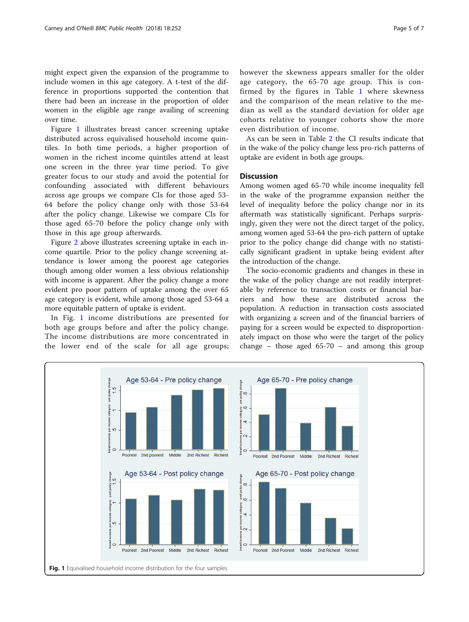might expect given the expansion of the programme to include women in this age category. A t-test of the difference in proportions supported the contention that there had been an increase in the proportion of older women in the eligible age range availing of screening over time.

Figure 1 illustrates breast cancer screening uptake distributed across equivalised household income quintiles. In both time periods, a higher proportion of women in the richest income quintiles attend at least one screen in the three year time period. To give greater focus to our study and avoid the potential for confounding associated with different behaviours across age groups we compare CIs for those aged 53- 64 before the policy change only with those 53-64 after the policy change. Likewise we compare CIs for those aged 65-70 before the policy change only with those in this age group afterwards.

Figure [2](#page-5-0) above illustrates screening uptake in each income quartile. Prior to the policy change screening attendance is lower among the poorest age categories though among older women a less obvious relationship with income is apparent. After the policy change a more evident pro poor pattern of uptake among the over 65 age category is evident, while among those aged 53-64 a more equitable pattern of uptake is evident.

In Fig. 1 income distributions are presented for both age groups before and after the policy change. The income distributions are more concentrated in the lower end of the scale for all age groups; however the skewness appears smaller for the older age category, the 65-70 age group. This is confirmed by the figures in Table [1](#page-3-0) where skewness and the comparison of the mean relative to the median as well as the standard deviation for older age cohorts relative to younger cohorts show the more even distribution of income.

As can be seen in Table [2](#page-5-0) the CI results indicate that in the wake of the policy change less pro-rich patterns of uptake are evident in both age groups.

## **Discussion**

Among women aged 65-70 while income inequality fell in the wake of the programme expansion neither the level of inequality before the policy change nor in its aftermath was statistically significant. Perhaps surprisingly, given they were not the direct target of the policy, among women aged 53-64 the pro-rich pattern of uptake prior to the policy change did change with no statistically significant gradient in uptake being evident after the introduction of the change.

The socio-economic gradients and changes in these in the wake of the policy change are not readily interpretable by reference to transaction costs or financial barriers and how these are distributed across the population. A reduction in transaction costs associated with organizing a screen and of the financial barriers of paying for a screen would be expected to disproportionately impact on those who were the target of the policy change – those aged  $65-70$  – and among this group

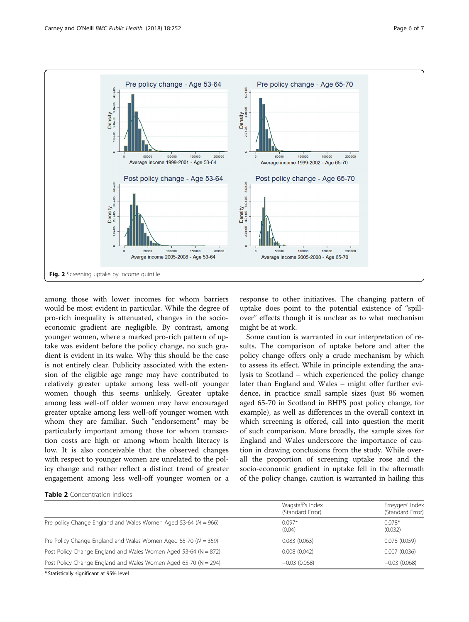<span id="page-5-0"></span>

among those with lower incomes for whom barriers would be most evident in particular. While the degree of pro-rich inequality is attenuated, changes in the socioeconomic gradient are negligible. By contrast, among younger women, where a marked pro-rich pattern of uptake was evident before the policy change, no such gradient is evident in its wake. Why this should be the case is not entirely clear. Publicity associated with the extension of the eligible age range may have contributed to relatively greater uptake among less well-off younger women though this seems unlikely. Greater uptake among less well-off older women may have encouraged greater uptake among less well-off younger women with whom they are familiar. Such "endorsement" may be particularly important among those for whom transaction costs are high or among whom health literacy is low. It is also conceivable that the observed changes with respect to younger women are unrelated to the policy change and rather reflect a distinct trend of greater engagement among less well-off younger women or a

response to other initiatives. The changing pattern of uptake does point to the potential existence of "spillover" effects though it is unclear as to what mechanism might be at work.

Some caution is warranted in our interpretation of results. The comparison of uptake before and after the policy change offers only a crude mechanism by which to assess its effect. While in principle extending the analysis to Scotland – which experienced the policy change later than England and Wales – might offer further evidence, in practice small sample sizes (just 86 women aged 65-70 in Scotland in BHPS post policy change, for example), as well as differences in the overall context in which screening is offered, call into question the merit of such comparison. More broadly, the sample sizes for England and Wales underscore the importance of caution in drawing conclusions from the study. While overall the proportion of screening uptake rose and the socio-economic gradient in uptake fell in the aftermath of the policy change, caution is warranted in hailing this

### Table 2 Concentration Indices

|                                                                     | Wagstaff's Index<br>(Standard Error) | Erreygers' Index<br>(Standard Error) |
|---------------------------------------------------------------------|--------------------------------------|--------------------------------------|
| Pre policy Change England and Wales Women Aged 53-64 ( $N = 966$ )  | $0.097*$<br>(0.04)                   | $0.078*$<br>(0.032)                  |
| Pre Policy Change England and Wales Women Aged 65-70 ( $N = 359$ )  | 0.083(0.063)                         | 0.078(0.059)                         |
| Post Policy Change England and Wales Women Aged 53-64 ( $N = 872$ ) | 0.008(0.042)                         | 0.007(0.036)                         |
| Post Policy Change England and Wales Women Aged 65-70 ( $N = 294$ ) | $-0.03(0.068)$                       | $-0.03(0.068)$                       |

\* Statistically significant at 95% level